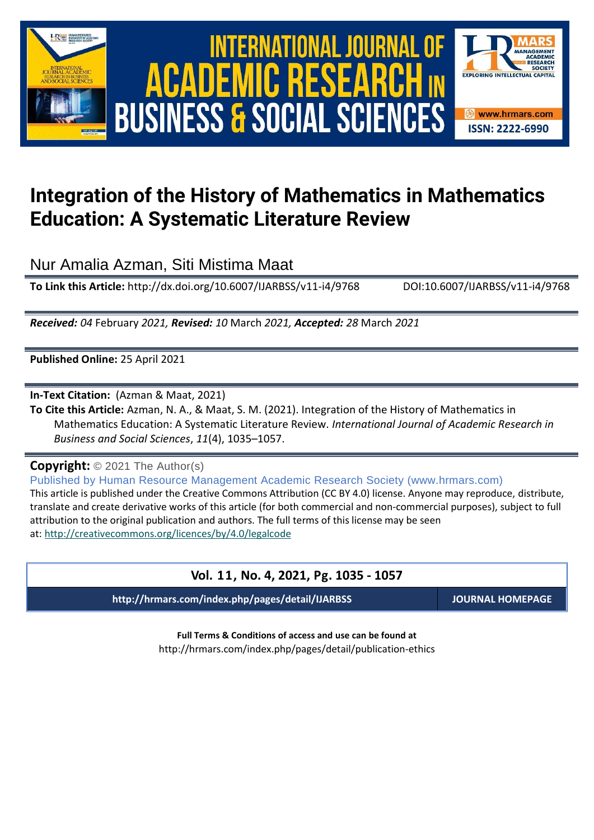

International Journal of Academic Research in Business and Social Sciences **Vol. 1 1 , No. 4, 2021, E-ISSN: 2222-6990 © 2021 HRMARS** ACADEMIC R ESEA **BUSINESS & SOCIAL SCIENCES** 



# **Integration of the History of Mathematics in Mathematics Education: A Systematic Literature Review**

Nur Amalia Azman, Siti Mistima Maat

**To Link this Article:** http://dx.doi.org/10.6007/IJARBSS/v11-i4/9768 DOI:10.6007/IJARBSS/v11-i4/9768

*Received: 04* February *2021, Revised: 10* March *2021, Accepted: 28* March *2021*

**Published Online:** 25 April 2021

**In-Text Citation:** (Azman & Maat, 2021)

**To Cite this Article:** Azman, N. A., & Maat, S. M. (2021). Integration of the History of Mathematics in Mathematics Education: A Systematic Literature Review. *International Journal of Academic Research in Business and Social Sciences*, *11*(4), 1035–1057.

**Copyright:** © 2021 The Author(s)

Published by Human Resource Management Academic Research Society (www.hrmars.com) This article is published under the Creative Commons Attribution (CC BY 4.0) license. Anyone may reproduce, distribute, translate and create derivative works of this article (for both commercial and non-commercial purposes), subject to full attribution to the original publication and authors. The full terms of this license may be seen at: <http://creativecommons.org/licences/by/4.0/legalcode>

| Vol. 11, No. 4, 2021, Pg. 1035 - 1057            |                         |  |  |  |  |  |  |  |
|--------------------------------------------------|-------------------------|--|--|--|--|--|--|--|
| http://hrmars.com/index.php/pages/detail/IJARBSS | <b>JOURNAL HOMEPAGE</b> |  |  |  |  |  |  |  |
|                                                  |                         |  |  |  |  |  |  |  |

**Full Terms & Conditions of access and use can be found at** http://hrmars.com/index.php/pages/detail/publication-ethics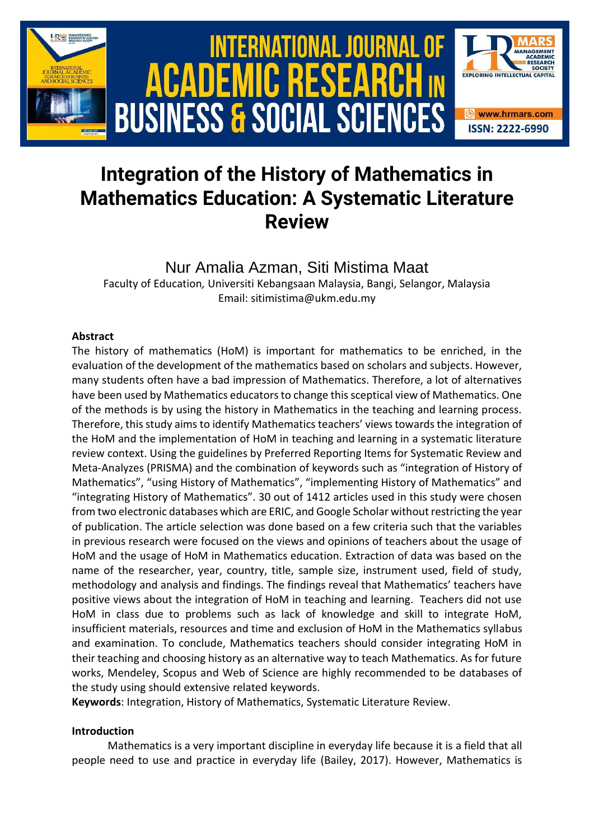

# **Integration of the History of Mathematics in Mathematics Education: A Systematic Literature Review**

Nur Amalia Azman, Siti Mistima Maat Faculty of Education*,* Universiti Kebangsaan Malaysia, Bangi, Selangor, Malaysia Email: sitimistima@ukm.edu.my

## **Abstract**

The history of mathematics (HoM) is important for mathematics to be enriched, in the evaluation of the development of the mathematics based on scholars and subjects. However, many students often have a bad impression of Mathematics. Therefore, a lot of alternatives have been used by Mathematics educators to change this sceptical view of Mathematics. One of the methods is by using the history in Mathematics in the teaching and learning process. Therefore, this study aims to identify Mathematics teachers' views towards the integration of the HoM and the implementation of HoM in teaching and learning in a systematic literature review context. Using the guidelines by Preferred Reporting Items for Systematic Review and Meta-Analyzes (PRISMA) and the combination of keywords such as "integration of History of Mathematics", "using History of Mathematics", "implementing History of Mathematics" and "integrating History of Mathematics". 30 out of 1412 articles used in this study were chosen from two electronic databases which are ERIC, and Google Scholar without restricting the year of publication. The article selection was done based on a few criteria such that the variables in previous research were focused on the views and opinions of teachers about the usage of HoM and the usage of HoM in Mathematics education. Extraction of data was based on the name of the researcher, year, country, title, sample size, instrument used, field of study, methodology and analysis and findings. The findings reveal that Mathematics' teachers have positive views about the integration of HoM in teaching and learning. Teachers did not use HoM in class due to problems such as lack of knowledge and skill to integrate HoM, insufficient materials, resources and time and exclusion of HoM in the Mathematics syllabus and examination. To conclude, Mathematics teachers should consider integrating HoM in their teaching and choosing history as an alternative way to teach Mathematics. As for future works, Mendeley, Scopus and Web of Science are highly recommended to be databases of the study using should extensive related keywords.

**Keywords**: Integration, History of Mathematics, Systematic Literature Review.

## **Introduction**

Mathematics is a very important discipline in everyday life because it is a field that all people need to use and practice in everyday life (Bailey, 2017). However, Mathematics is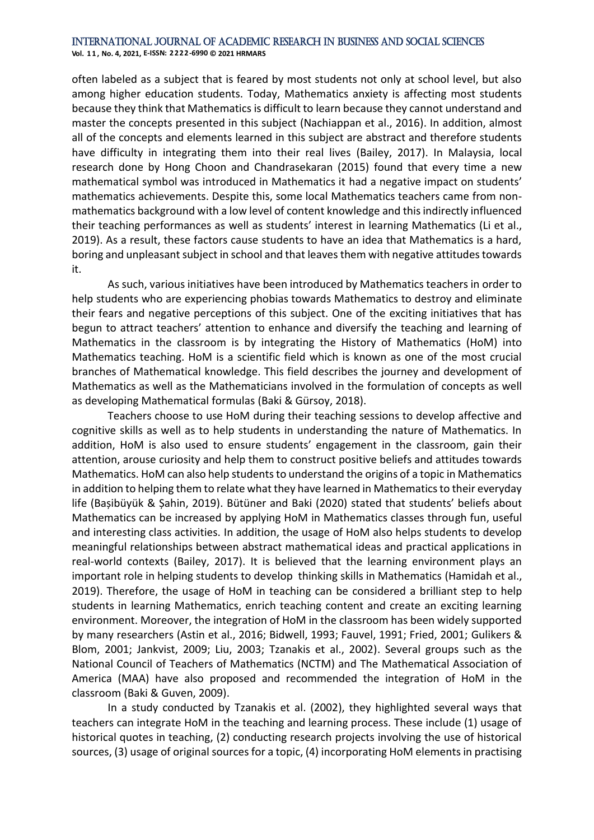**Vol. 1 1 , No. 4, 2021, E-ISSN: 2222-6990 © 2021 HRMARS**

often labeled as a subject that is feared by most students not only at school level, but also among higher education students. Today, Mathematics anxiety is affecting most students because they think that Mathematics is difficult to learn because they cannot understand and master the concepts presented in this subject (Nachiappan et al., 2016). In addition, almost all of the concepts and elements learned in this subject are abstract and therefore students have difficulty in integrating them into their real lives (Bailey, 2017). In Malaysia, local research done by Hong Choon and Chandrasekaran (2015) found that every time a new mathematical symbol was introduced in Mathematics it had a negative impact on students' mathematics achievements. Despite this, some local Mathematics teachers came from nonmathematics background with a low level of content knowledge and this indirectly influenced their teaching performances as well as students' interest in learning Mathematics (Li et al., 2019). As a result, these factors cause students to have an idea that Mathematics is a hard, boring and unpleasant subject in school and that leaves them with negative attitudes towards it.

As such, various initiatives have been introduced by Mathematics teachers in order to help students who are experiencing phobias towards Mathematics to destroy and eliminate their fears and negative perceptions of this subject. One of the exciting initiatives that has begun to attract teachers' attention to enhance and diversify the teaching and learning of Mathematics in the classroom is by integrating the History of Mathematics (HoM) into Mathematics teaching. HoM is a scientific field which is known as one of the most crucial branches of Mathematical knowledge. This field describes the journey and development of Mathematics as well as the Mathematicians involved in the formulation of concepts as well as developing Mathematical formulas (Baki & Gürsoy, 2018).

Teachers choose to use HoM during their teaching sessions to develop affective and cognitive skills as well as to help students in understanding the nature of Mathematics. In addition, HoM is also used to ensure students' engagement in the classroom, gain their attention, arouse curiosity and help them to construct positive beliefs and attitudes towards Mathematics. HoM can also help students to understand the origins of a topic in Mathematics in addition to helping them to relate what they have learned in Mathematics to their everyday life (Bașibüyük & Șahin, 2019). Bütüner and Baki (2020) stated that students' beliefs about Mathematics can be increased by applying HoM in Mathematics classes through fun, useful and interesting class activities. In addition, the usage of HoM also helps students to develop meaningful relationships between abstract mathematical ideas and practical applications in real-world contexts (Bailey, 2017). It is believed that the learning environment plays an important role in helping students to develop thinking skills in Mathematics (Hamidah et al., 2019). Therefore, the usage of HoM in teaching can be considered a brilliant step to help students in learning Mathematics, enrich teaching content and create an exciting learning environment. Moreover, the integration of HoM in the classroom has been widely supported by many researchers (Astin et al., 2016; Bidwell, 1993; Fauvel, 1991; Fried, 2001; Gulikers & Blom, 2001; Jankvist, 2009; Liu, 2003; Tzanakis et al., 2002). Several groups such as the National Council of Teachers of Mathematics (NCTM) and The Mathematical Association of America (MAA) have also proposed and recommended the integration of HoM in the classroom (Baki & Guven, 2009).

In a study conducted by Tzanakis et al. (2002), they highlighted several ways that teachers can integrate HoM in the teaching and learning process. These include (1) usage of historical quotes in teaching, (2) conducting research projects involving the use of historical sources, (3) usage of original sources for a topic, (4) incorporating HoM elements in practising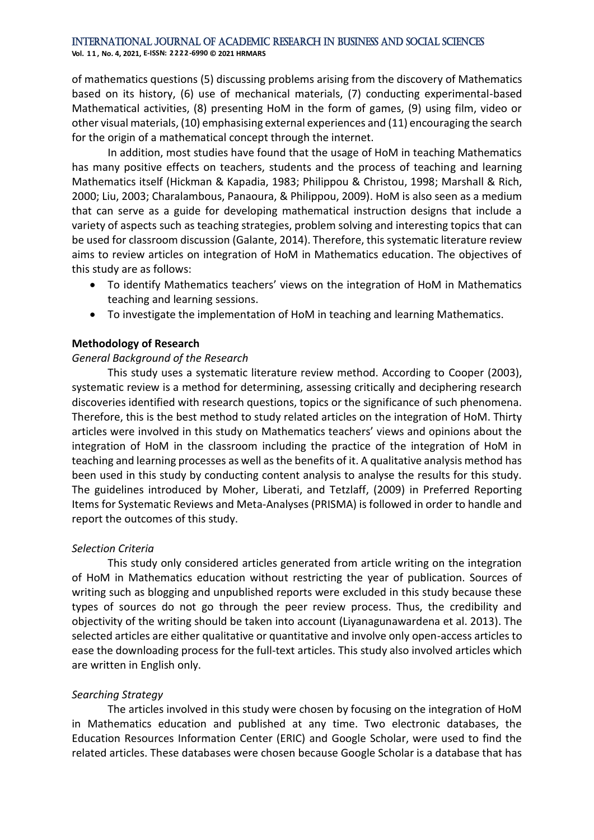of mathematics questions (5) discussing problems arising from the discovery of Mathematics based on its history, (6) use of mechanical materials, (7) conducting experimental-based Mathematical activities, (8) presenting HoM in the form of games, (9) using film, video or other visual materials, (10) emphasising external experiences and (11) encouraging the search for the origin of a mathematical concept through the internet.

In addition, most studies have found that the usage of HoM in teaching Mathematics has many positive effects on teachers, students and the process of teaching and learning Mathematics itself (Hickman & Kapadia, 1983; Philippou & Christou, 1998; Marshall & Rich, 2000; Liu, 2003; Charalambous, Panaoura, & Philippou, 2009). HoM is also seen as a medium that can serve as a guide for developing mathematical instruction designs that include a variety of aspects such as teaching strategies, problem solving and interesting topics that can be used for classroom discussion (Galante, 2014). Therefore, this systematic literature review aims to review articles on integration of HoM in Mathematics education. The objectives of this study are as follows:

- To identify Mathematics teachers' views on the integration of HoM in Mathematics teaching and learning sessions.
- To investigate the implementation of HoM in teaching and learning Mathematics.

## **Methodology of Research**

## *General Background of the Research*

This study uses a systematic literature review method. According to Cooper (2003), systematic review is a method for determining, assessing critically and deciphering research discoveries identified with research questions, topics or the significance of such phenomena. Therefore, this is the best method to study related articles on the integration of HoM. Thirty articles were involved in this study on Mathematics teachers' views and opinions about the integration of HoM in the classroom including the practice of the integration of HoM in teaching and learning processes as well as the benefits of it. A qualitative analysis method has been used in this study by conducting content analysis to analyse the results for this study. The guidelines introduced by Moher, Liberati, and Tetzlaff, (2009) in Preferred Reporting Items for Systematic Reviews and Meta-Analyses (PRISMA) is followed in order to handle and report the outcomes of this study.

## *Selection Criteria*

This study only considered articles generated from article writing on the integration of HoM in Mathematics education without restricting the year of publication. Sources of writing such as blogging and unpublished reports were excluded in this study because these types of sources do not go through the peer review process. Thus, the credibility and objectivity of the writing should be taken into account (Liyanagunawardena et al. 2013). The selected articles are either qualitative or quantitative and involve only open-access articles to ease the downloading process for the full-text articles. This study also involved articles which are written in English only.

## *Searching Strategy*

The articles involved in this study were chosen by focusing on the integration of HoM in Mathematics education and published at any time. Two electronic databases, the Education Resources Information Center (ERIC) and Google Scholar, were used to find the related articles. These databases were chosen because Google Scholar is a database that has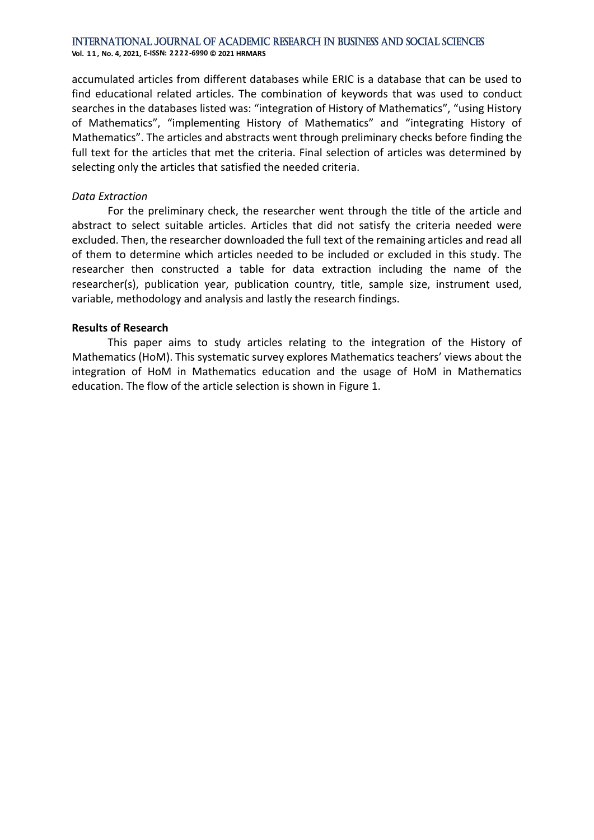**Vol. 1 1 , No. 4, 2021, E-ISSN: 2222-6990 © 2021 HRMARS**

accumulated articles from different databases while ERIC is a database that can be used to find educational related articles. The combination of keywords that was used to conduct searches in the databases listed was: "integration of History of Mathematics", "using History of Mathematics", "implementing History of Mathematics" and "integrating History of Mathematics". The articles and abstracts went through preliminary checks before finding the full text for the articles that met the criteria. Final selection of articles was determined by selecting only the articles that satisfied the needed criteria.

#### *Data Extraction*

For the preliminary check, the researcher went through the title of the article and abstract to select suitable articles. Articles that did not satisfy the criteria needed were excluded. Then, the researcher downloaded the full text of the remaining articles and read all of them to determine which articles needed to be included or excluded in this study. The researcher then constructed a table for data extraction including the name of the researcher(s), publication year, publication country, title, sample size, instrument used, variable, methodology and analysis and lastly the research findings.

#### **Results of Research**

This paper aims to study articles relating to the integration of the History of Mathematics (HoM). This systematic survey explores Mathematics teachers' views about the integration of HoM in Mathematics education and the usage of HoM in Mathematics education. The flow of the article selection is shown in Figure 1.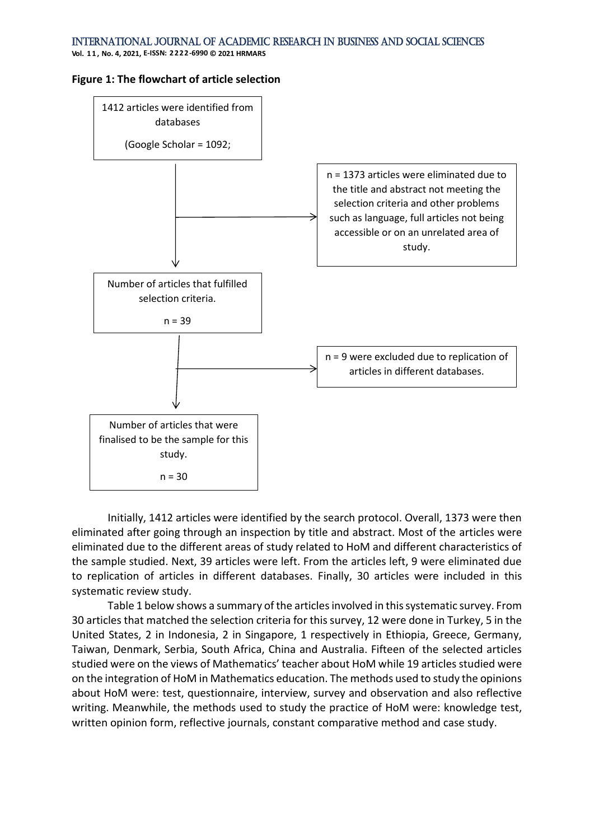**Vol. 1 1 , No. 4, 2021, E-ISSN: 2222-6990 © 2021 HRMARS**

#### **Figure 1: The flowchart of article selection**



Initially, 1412 articles were identified by the search protocol. Overall, 1373 were then eliminated after going through an inspection by title and abstract. Most of the articles were eliminated due to the different areas of study related to HoM and different characteristics of the sample studied. Next, 39 articles were left. From the articles left, 9 were eliminated due to replication of articles in different databases. Finally, 30 articles were included in this systematic review study.

Table 1 below shows a summary of the articles involved in this systematic survey. From 30 articles that matched the selection criteria for this survey, 12 were done in Turkey, 5 in the United States, 2 in Indonesia, 2 in Singapore, 1 respectively in Ethiopia, Greece, Germany, Taiwan, Denmark, Serbia, South Africa, China and Australia. Fifteen of the selected articles studied were on the views of Mathematics' teacher about HoM while 19 articles studied were on the integration of HoM in Mathematics education. The methods used to study the opinions about HoM were: test, questionnaire, interview, survey and observation and also reflective writing. Meanwhile, the methods used to study the practice of HoM were: knowledge test, written opinion form, reflective journals, constant comparative method and case study.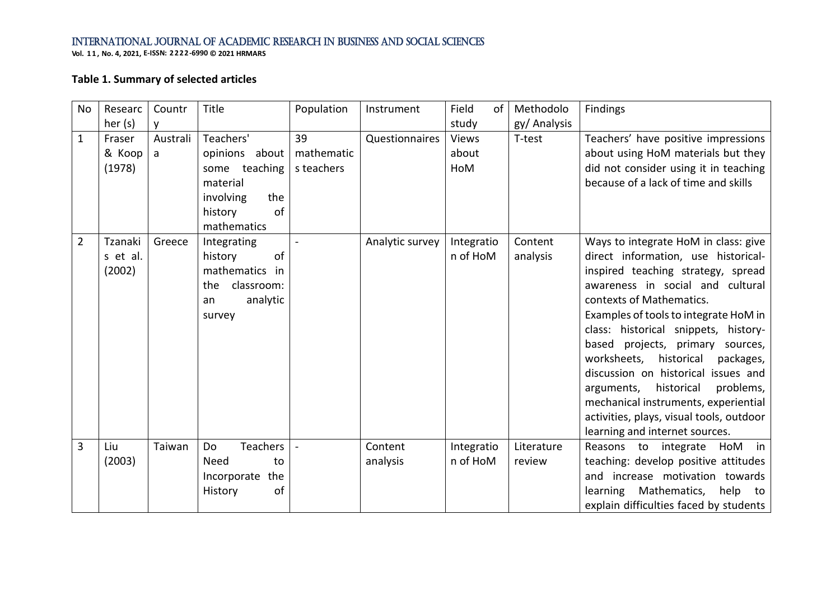**Vol. 1 1 , No. 4, 2021, E-ISSN: 2222-6990 © 2021 HRMARS**

# **Table 1. Summary of selected articles**

| <b>No</b>      | Researc  | Countr   | Title             | Population | Instrument      | Field<br>of  | Methodolo    | Findings                                 |
|----------------|----------|----------|-------------------|------------|-----------------|--------------|--------------|------------------------------------------|
|                | her (s)  | ۷        |                   |            |                 | study        | gy/ Analysis |                                          |
| $\mathbf{1}$   | Fraser   | Australi | Teachers'         | 39         | Questionnaires  | <b>Views</b> | T-test       | Teachers' have positive impressions      |
|                | & Koop   | a        | opinions about    | mathematic |                 | about        |              | about using HoM materials but they       |
|                | (1978)   |          | some teaching     | s teachers |                 | HoM          |              | did not consider using it in teaching    |
|                |          |          | material          |            |                 |              |              | because of a lack of time and skills     |
|                |          |          | involving<br>the  |            |                 |              |              |                                          |
|                |          |          | of<br>history     |            |                 |              |              |                                          |
|                |          |          | mathematics       |            |                 |              |              |                                          |
| $\overline{2}$ | Tzanaki  | Greece   | Integrating       |            | Analytic survey | Integratio   | Content      | Ways to integrate HoM in class: give     |
|                | s et al. |          | of<br>history     |            |                 | n of HoM     | analysis     | direct information, use historical-      |
|                | (2002)   |          | mathematics<br>in |            |                 |              |              | inspired teaching strategy, spread       |
|                |          |          | classroom:<br>the |            |                 |              |              | awareness in social and cultural         |
|                |          |          | analytic<br>an    |            |                 |              |              | contexts of Mathematics.                 |
|                |          |          | survey            |            |                 |              |              | Examples of tools to integrate HoM in    |
|                |          |          |                   |            |                 |              |              | class: historical snippets, history-     |
|                |          |          |                   |            |                 |              |              | based projects, primary<br>sources,      |
|                |          |          |                   |            |                 |              |              | worksheets, historical<br>packages,      |
|                |          |          |                   |            |                 |              |              | discussion on historical issues and      |
|                |          |          |                   |            |                 |              |              | historical<br>problems,<br>arguments,    |
|                |          |          |                   |            |                 |              |              | mechanical instruments, experiential     |
|                |          |          |                   |            |                 |              |              | activities, plays, visual tools, outdoor |
|                |          |          |                   |            |                 |              |              | learning and internet sources.           |
| 3              | Liu      | Taiwan   | Teachers<br>Do    |            | Content         | Integratio   | Literature   | Reasons to integrate<br>HoM<br>in        |
|                | (2003)   |          | <b>Need</b><br>to |            | analysis        | n of HoM     | review       | teaching: develop positive attitudes     |
|                |          |          | Incorporate the   |            |                 |              |              | and increase motivation towards          |
|                |          |          | of<br>History     |            |                 |              |              | learning Mathematics,<br>help to         |
|                |          |          |                   |            |                 |              |              | explain difficulties faced by students   |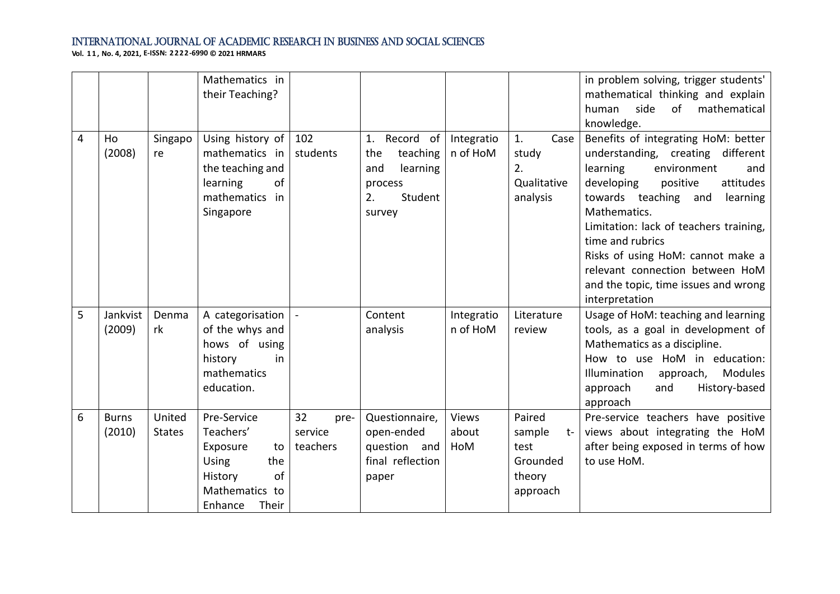|   |                        |                         | Mathematics in<br>their Teaching?                                                                                        |                                   |                                                                                             |                        |                                                                    | in problem solving, trigger students'<br>mathematical thinking and explain<br>side<br>of<br>mathematical<br>human<br>knowledge.                                                                                                                                                                                                                                                                       |
|---|------------------------|-------------------------|--------------------------------------------------------------------------------------------------------------------------|-----------------------------------|---------------------------------------------------------------------------------------------|------------------------|--------------------------------------------------------------------|-------------------------------------------------------------------------------------------------------------------------------------------------------------------------------------------------------------------------------------------------------------------------------------------------------------------------------------------------------------------------------------------------------|
| 4 | Ho<br>(2008)           | Singapo<br>re           | Using history of<br>mathematics in<br>the teaching and<br>learning<br>of<br>mathematics in<br>Singapore                  | 102<br>students                   | Record of<br>1.<br>teaching<br>the<br>learning<br>and<br>process<br>Student<br>2.<br>survey | Integratio<br>n of HoM | 1.<br>Case<br>study<br>2.<br>Qualitative<br>analysis               | Benefits of integrating HoM: better<br>understanding, creating different<br>learning<br>environment<br>and<br>developing<br>positive<br>attitudes<br>towards teaching and<br>learning<br>Mathematics.<br>Limitation: lack of teachers training,<br>time and rubrics<br>Risks of using HoM: cannot make a<br>relevant connection between HoM<br>and the topic, time issues and wrong<br>interpretation |
| 5 | Jankvist<br>(2009)     | Denma<br>rk             | A categorisation<br>of the whys and<br>hows of using<br>history<br>in<br>mathematics<br>education.                       |                                   | Content<br>analysis                                                                         | Integratio<br>n of HoM | Literature<br>review                                               | Usage of HoM: teaching and learning<br>tools, as a goal in development of<br>Mathematics as a discipline.<br>How to use HoM in education:<br>Modules<br>Illumination<br>approach,<br>History-based<br>approach<br>and<br>approach                                                                                                                                                                     |
| 6 | <b>Burns</b><br>(2010) | United<br><b>States</b> | Pre-Service<br>Teachers'<br>Exposure<br>to<br><b>Using</b><br>the<br>of<br>History<br>Mathematics to<br>Enhance<br>Their | 32<br>pre-<br>service<br>teachers | Questionnaire,<br>open-ended<br>question and<br>final reflection<br>paper                   | Views<br>about<br>HoM  | Paired<br>sample<br>$t-$<br>test<br>Grounded<br>theory<br>approach | Pre-service teachers have positive<br>views about integrating the HoM<br>after being exposed in terms of how<br>to use HoM.                                                                                                                                                                                                                                                                           |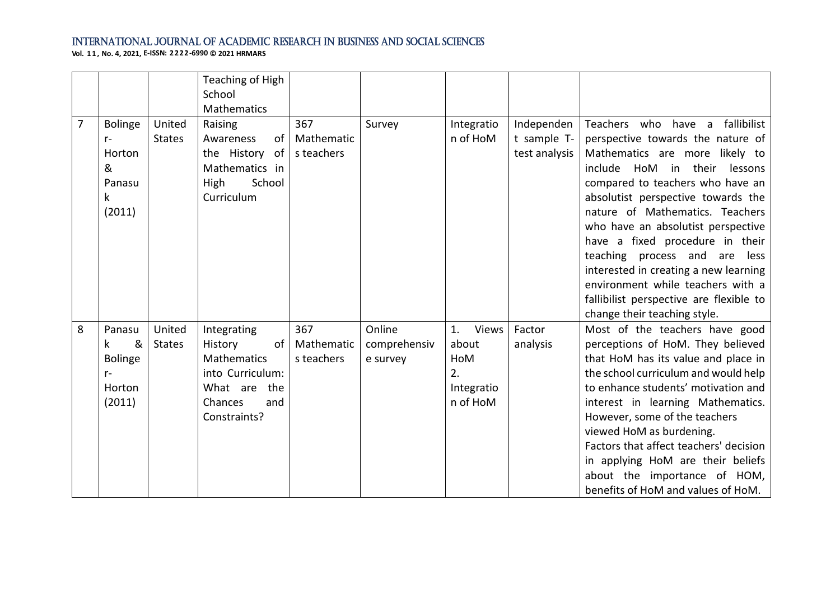|                |                                                                          |                         | Teaching of High<br>School<br>Mathematics                                                                                |                                 |                                    |                                                             |                                            |                                                                                                                                                                                                                                                                                                                                                                                                                                                                                                                              |
|----------------|--------------------------------------------------------------------------|-------------------------|--------------------------------------------------------------------------------------------------------------------------|---------------------------------|------------------------------------|-------------------------------------------------------------|--------------------------------------------|------------------------------------------------------------------------------------------------------------------------------------------------------------------------------------------------------------------------------------------------------------------------------------------------------------------------------------------------------------------------------------------------------------------------------------------------------------------------------------------------------------------------------|
| $\overline{7}$ | <b>Bolinge</b><br>$r-$<br>Horton<br>&<br>Panasu<br>$\mathsf k$<br>(2011) | United<br><b>States</b> | Raising<br>of<br>Awareness<br>the History of<br>Mathematics in<br>School<br>High<br>Curriculum                           | 367<br>Mathematic<br>s teachers | Survey                             | Integratio<br>n of HoM                                      | Independen<br>t sample T-<br>test analysis | Teachers who have a fallibilist<br>perspective towards the nature of<br>Mathematics are more likely to<br>include HoM in their<br>lessons<br>compared to teachers who have an<br>absolutist perspective towards the<br>nature of Mathematics. Teachers<br>who have an absolutist perspective<br>have a fixed procedure in their<br>teaching process and are<br>less<br>interested in creating a new learning<br>environment while teachers with a<br>fallibilist perspective are flexible to<br>change their teaching style. |
| 8              | Panasu<br>&<br>k<br><b>Bolinge</b><br>$r-$<br>Horton<br>(2011)           | United<br><b>States</b> | Integrating<br>History<br>of<br><b>Mathematics</b><br>into Curriculum:<br>What are the<br>Chances<br>and<br>Constraints? | 367<br>Mathematic<br>s teachers | Online<br>comprehensiv<br>e survey | Views<br>1.<br>about<br>HoM<br>2.<br>Integratio<br>n of HoM | Factor<br>analysis                         | Most of the teachers have good<br>perceptions of HoM. They believed<br>that HoM has its value and place in<br>the school curriculum and would help<br>to enhance students' motivation and<br>interest in learning Mathematics.<br>However, some of the teachers<br>viewed HoM as burdening.<br>Factors that affect teachers' decision<br>in applying HoM are their beliefs<br>about the importance of HOM,<br>benefits of HoM and values of HoM.                                                                             |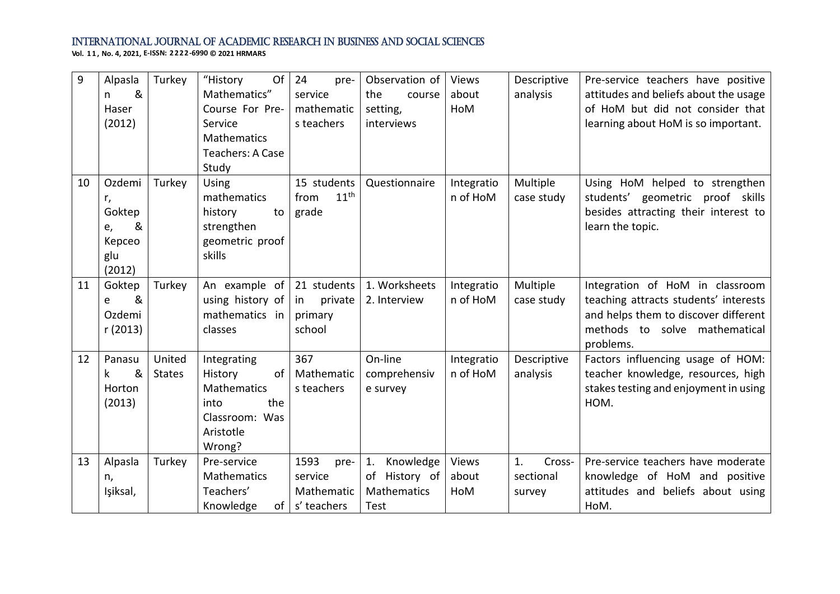| 9  | Alpasla  | Turkey        | "History<br>Of     | 24<br>pre-               | Observation of   | Views      | Descriptive  | Pre-service teachers have positive    |
|----|----------|---------------|--------------------|--------------------------|------------------|------------|--------------|---------------------------------------|
|    | &<br>n.  |               | Mathematics"       | service                  | the<br>course    | about      | analysis     | attitudes and beliefs about the usage |
|    | Haser    |               | Course For Pre-    | mathematic               | setting,         | HoM        |              | of HoM but did not consider that      |
|    | (2012)   |               | Service            | s teachers               | interviews       |            |              | learning about HoM is so important.   |
|    |          |               | Mathematics        |                          |                  |            |              |                                       |
|    |          |               | Teachers: A Case   |                          |                  |            |              |                                       |
|    |          |               | Study              |                          |                  |            |              |                                       |
| 10 | Ozdemi   | Turkey        | Using              | 15 students              | Questionnaire    | Integratio | Multiple     | Using HoM helped to strengthen        |
|    | r,       |               | mathematics        | 11 <sup>th</sup><br>from |                  | n of HoM   | case study   | students' geometric proof skills      |
|    | Goktep   |               | history<br>to      | grade                    |                  |            |              | besides attracting their interest to  |
|    | &<br>e,  |               | strengthen         |                          |                  |            |              | learn the topic.                      |
|    | Kepceo   |               | geometric proof    |                          |                  |            |              |                                       |
|    | glu      |               | skills             |                          |                  |            |              |                                       |
|    | (2012)   |               |                    |                          |                  |            |              |                                       |
| 11 | Goktep   | Turkey        | An example of      | 21 students              | 1. Worksheets    | Integratio | Multiple     | Integration of HoM in classroom       |
|    | &<br>e   |               | using history of   | private<br>in            | 2. Interview     | n of HoM   | case study   | teaching attracts students' interests |
|    | Ozdemi   |               | mathematics in     | primary                  |                  |            |              | and helps them to discover different  |
|    | r (2013) |               | classes            | school                   |                  |            |              | methods to solve mathematical         |
|    |          |               |                    |                          |                  |            |              | problems.                             |
| 12 | Panasu   | United        | Integrating        | 367                      | On-line          | Integratio | Descriptive  | Factors influencing usage of HOM:     |
|    | &<br>k.  | <b>States</b> | History<br>of      | Mathematic               | comprehensiv     | n of HoM   | analysis     | teacher knowledge, resources, high    |
|    | Horton   |               | Mathematics        | s teachers               | e survey         |            |              | stakes testing and enjoyment in using |
|    | (2013)   |               | the<br>into        |                          |                  |            |              | HOM.                                  |
|    |          |               | Classroom: Was     |                          |                  |            |              |                                       |
|    |          |               | Aristotle          |                          |                  |            |              |                                       |
|    |          |               | Wrong?             |                          |                  |            |              |                                       |
| 13 | Alpasla  | Turkey        | Pre-service        | 1593<br>pre-             | Knowledge<br>1.  | Views      | 1.<br>Cross- | Pre-service teachers have moderate    |
|    | n,       |               | <b>Mathematics</b> | service                  | History of<br>of | about      | sectional    | knowledge of HoM and positive         |
|    | Işiksal, |               | Teachers'          | Mathematic               | Mathematics      | HoM        | survey       | attitudes and beliefs about using     |
|    |          |               | Knowledge          | of $ s'$ teachers        | <b>Test</b>      |            |              | HoM.                                  |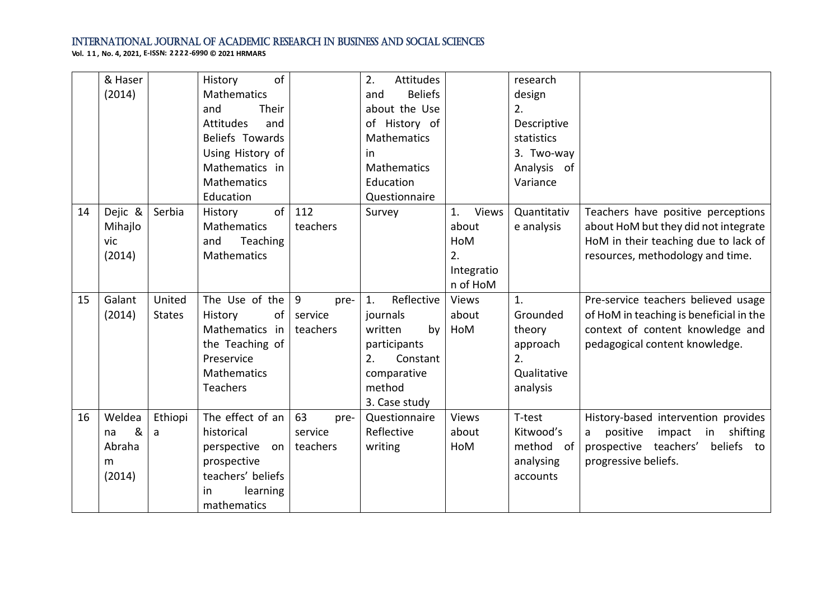|    | & Haser<br>(2014)                          |                         | of<br>History<br><b>Mathematics</b><br>Their<br>and<br><b>Attitudes</b><br>and<br>Beliefs Towards<br>Using History of<br>Mathematics in<br><b>Mathematics</b><br>Education |                                   | 2.<br>Attitudes<br><b>Beliefs</b><br>and<br>about the Use<br>of History of<br><b>Mathematics</b><br>in.<br>Mathematics<br>Education<br>Questionnaire |                                                             | research<br>design<br>2.<br>Descriptive<br>statistics<br>3. Two-way<br>Analysis of<br>Variance |                                                                                                                                                        |
|----|--------------------------------------------|-------------------------|----------------------------------------------------------------------------------------------------------------------------------------------------------------------------|-----------------------------------|------------------------------------------------------------------------------------------------------------------------------------------------------|-------------------------------------------------------------|------------------------------------------------------------------------------------------------|--------------------------------------------------------------------------------------------------------------------------------------------------------|
| 14 | Dejic &<br>Mihajlo<br>vic<br>(2014)        | Serbia                  | of<br>History<br><b>Mathematics</b><br>Teaching<br>and<br><b>Mathematics</b>                                                                                               | 112<br>teachers                   | Survey                                                                                                                                               | 1.<br>Views<br>about<br>HoM<br>2.<br>Integratio<br>n of HoM | Quantitativ<br>e analysis                                                                      | Teachers have positive perceptions<br>about HoM but they did not integrate<br>HoM in their teaching due to lack of<br>resources, methodology and time. |
| 15 | Galant<br>(2014)                           | United<br><b>States</b> | The Use of the<br>History<br>of<br>Mathematics<br>in<br>the Teaching of<br>Preservice<br><b>Mathematics</b><br><b>Teachers</b>                                             | 9<br>pre-<br>service<br>teachers  | Reflective<br>1.<br>journals<br>written<br>by<br>participants<br>2.<br>Constant<br>comparative<br>method<br>3. Case study                            | Views<br>about<br>HoM                                       | 1.<br>Grounded<br>theory<br>approach<br>2.<br>Qualitative<br>analysis                          | Pre-service teachers believed usage<br>of HoM in teaching is beneficial in the<br>context of content knowledge and<br>pedagogical content knowledge.   |
| 16 | Weldea<br>&<br>na<br>Abraha<br>m<br>(2014) | Ethiopi<br>a            | The effect of an<br>historical<br>$perspective$ on<br>prospective<br>teachers' beliefs<br>learning<br>in<br>mathematics                                                    | 63<br>pre-<br>service<br>teachers | Questionnaire<br>Reflective<br>writing                                                                                                               | Views<br>about<br>HoM                                       | T-test<br>Kitwood's<br>method of<br>analysing<br>accounts                                      | History-based intervention provides<br>positive<br>impact<br>in shifting<br>a<br>prospective teachers'<br>beliefs to<br>progressive beliefs.           |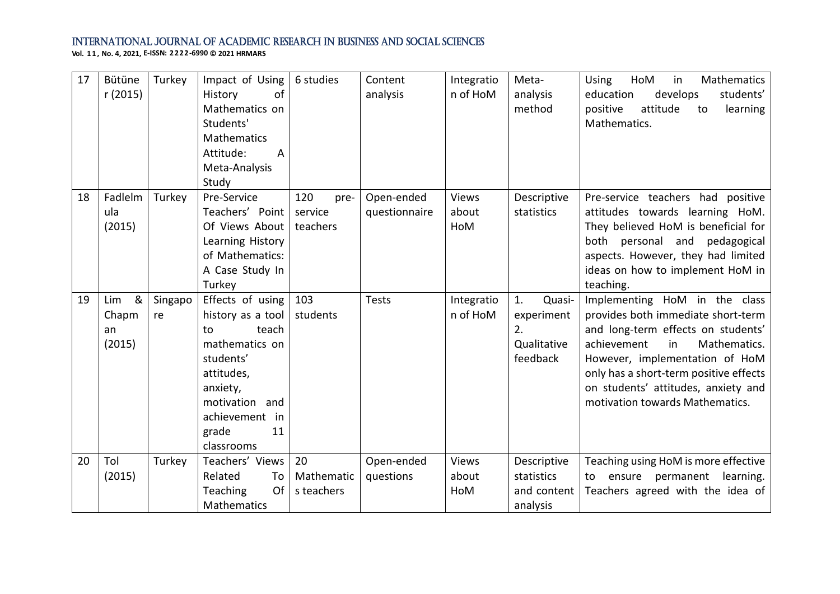| 17 | Bütüne<br>r (2015)                | Turkey        | Impact of Using<br>History<br>of<br>Mathematics on<br>Students'<br>Mathematics<br>Attitude:<br>$\overline{A}$<br>Meta-Analysis<br>Study                                           | 6 studies                          | Content<br>analysis         | Integratio<br>n of HoM       | Meta-<br>analysis<br>method                                 | HoM<br>in<br>Mathematics<br>Using<br>students'<br>develops<br>education<br>positive<br>attitude<br>learning<br>to<br>Mathematics.                                                                                                                                                                    |
|----|-----------------------------------|---------------|-----------------------------------------------------------------------------------------------------------------------------------------------------------------------------------|------------------------------------|-----------------------------|------------------------------|-------------------------------------------------------------|------------------------------------------------------------------------------------------------------------------------------------------------------------------------------------------------------------------------------------------------------------------------------------------------------|
| 18 | Fadlelm<br>ula<br>(2015)          | Turkey        | Pre-Service<br>Teachers' Point<br>Of Views About<br>Learning History<br>of Mathematics:<br>A Case Study In<br>Turkey                                                              | 120<br>pre-<br>service<br>teachers | Open-ended<br>questionnaire | <b>Views</b><br>about<br>HoM | Descriptive<br>statistics                                   | Pre-service teachers had positive<br>attitudes towards learning HoM.<br>They believed HoM is beneficial for<br>both personal and pedagogical<br>aspects. However, they had limited<br>ideas on how to implement HoM in<br>teaching.                                                                  |
| 19 | &<br>Lim<br>Chapm<br>an<br>(2015) | Singapo<br>re | Effects of using<br>history as a tool<br>teach<br>to<br>mathematics on<br>students'<br>attitudes,<br>anxiety,<br>motivation<br>and<br>achievement in<br>grade<br>11<br>classrooms | 103<br>students                    | <b>Tests</b>                | Integratio<br>n of HoM       | 1.<br>Quasi-<br>experiment<br>2.<br>Qualitative<br>feedback | Implementing HoM in the class<br>provides both immediate short-term<br>and long-term effects on students'<br>achievement<br>in<br>Mathematics.<br>However, implementation of HoM<br>only has a short-term positive effects<br>on students' attitudes, anxiety and<br>motivation towards Mathematics. |
| 20 | Tol<br>(2015)                     | Turkey        | Teachers' Views<br>Related<br>To<br>Of<br>Teaching<br>Mathematics                                                                                                                 | 20<br>Mathematic<br>s teachers     | Open-ended<br>questions     | Views<br>about<br>HoM        | Descriptive<br>statistics<br>and content<br>analysis        | Teaching using HoM is more effective<br>ensure permanent<br>learning.<br>to<br>Teachers agreed with the idea of                                                                                                                                                                                      |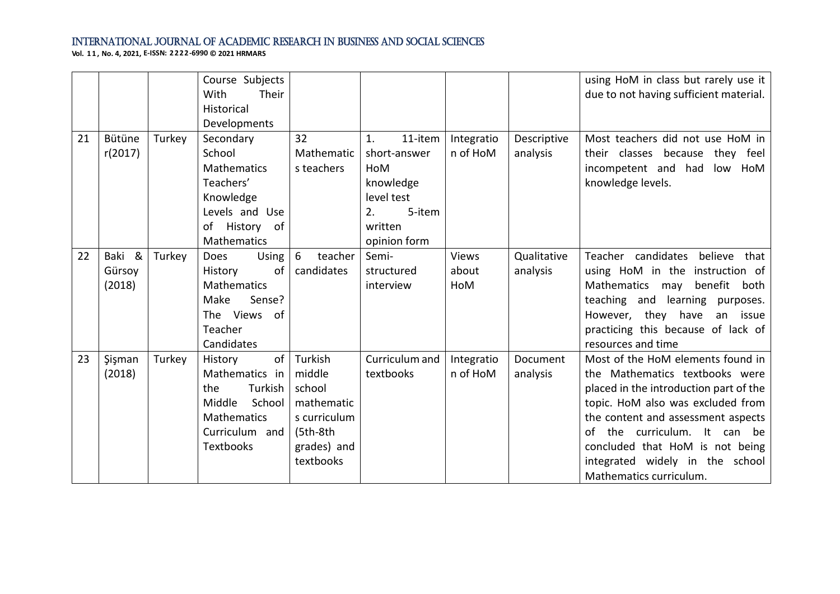|    |                            |        | Course Subjects<br>With<br>Their<br>Historical<br>Developments                                                             |                                                                                                      |                                                                                                            |                        |                         | using HoM in class but rarely use it<br>due to not having sufficient material.                                                                                                                                                                                                                                            |
|----|----------------------------|--------|----------------------------------------------------------------------------------------------------------------------------|------------------------------------------------------------------------------------------------------|------------------------------------------------------------------------------------------------------------|------------------------|-------------------------|---------------------------------------------------------------------------------------------------------------------------------------------------------------------------------------------------------------------------------------------------------------------------------------------------------------------------|
| 21 | Bütüne<br>r(2017)          | Turkey | Secondary<br>School<br>Mathematics<br>Teachers'<br>Knowledge<br>Levels and Use<br>History of<br>of<br>Mathematics          | 32<br>Mathematic<br>s teachers                                                                       | 1.<br>11-item<br>short-answer<br>HoM<br>knowledge<br>level test<br>5-item<br>2.<br>written<br>opinion form | Integratio<br>n of HoM | Descriptive<br>analysis | Most teachers did not use HoM in<br>their classes because they feel<br>incompetent and had<br>low HoM<br>knowledge levels.                                                                                                                                                                                                |
| 22 | Baki &<br>Gürsoy<br>(2018) | Turkey | Using<br><b>Does</b><br>History<br>of<br>Mathematics<br>Sense?<br>Make<br>The Views<br>0f<br>Teacher<br>Candidates         | 6<br>teacher<br>candidates                                                                           | Semi-<br>structured<br>interview                                                                           | Views<br>about<br>HoM  | Qualitative<br>analysis | Teacher candidates<br>believe<br>that<br>using HoM in the instruction of<br>Mathematics may<br>benefit<br>both<br>teaching and learning purposes.<br>they have<br>However,<br>an issue<br>practicing this because of lack of<br>resources and time                                                                        |
| 23 | Şişman<br>(2018)           | Turkey | of<br>History<br>Mathematics in<br>Turkish<br>the<br>School<br>Middle<br>Mathematics<br>Curriculum and<br><b>Textbooks</b> | Turkish<br>middle<br>school<br>mathematic<br>s curriculum<br>$(5th-8th)$<br>grades) and<br>textbooks | Curriculum and<br>textbooks                                                                                | Integratio<br>n of HoM | Document<br>analysis    | Most of the HoM elements found in<br>the Mathematics textbooks were<br>placed in the introduction part of the<br>topic. HoM also was excluded from<br>the content and assessment aspects<br>of the curriculum. It can be<br>concluded that HoM is not being<br>integrated widely in the school<br>Mathematics curriculum. |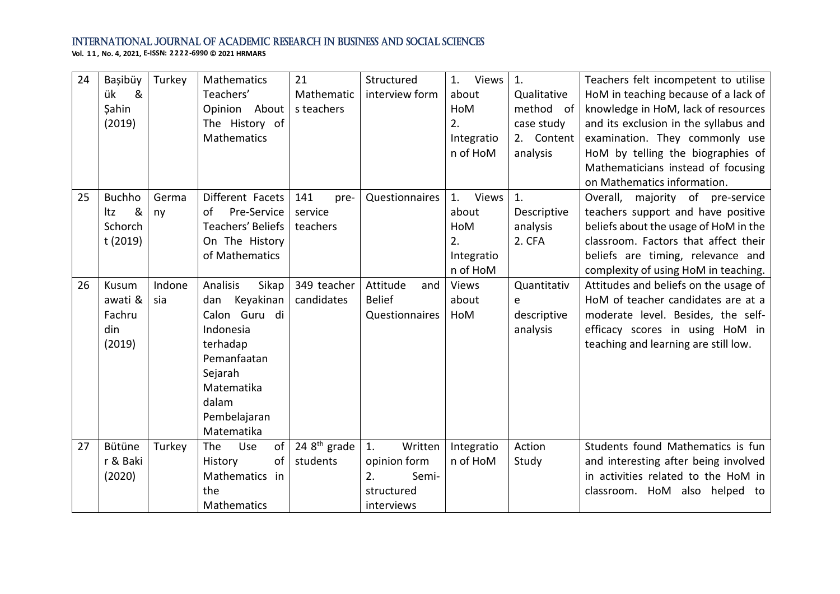| 24 | Başibüy       | Turkey | Mathematics             | 21             | Structured      | 1. Views    | 1.          | Teachers felt incompetent to utilise  |
|----|---------------|--------|-------------------------|----------------|-----------------|-------------|-------------|---------------------------------------|
|    | &<br>ük       |        | Teachers'               | Mathematic     | interview form  | about       | Qualitative | HoM in teaching because of a lack of  |
|    | Şahin         |        | Opinion About           | s teachers     |                 | <b>HoM</b>  | method of   | knowledge in HoM, lack of resources   |
|    | (2019)        |        | The History of          |                |                 | 2.          | case study  | and its exclusion in the syllabus and |
|    |               |        | Mathematics             |                |                 | Integratio  | 2. Content  | examination. They commonly use        |
|    |               |        |                         |                |                 | n of HoM    | analysis    | HoM by telling the biographies of     |
|    |               |        |                         |                |                 |             |             | Mathematicians instead of focusing    |
|    |               |        |                         |                |                 |             |             | on Mathematics information.           |
| 25 | <b>Buchho</b> | Germa  | Different Facets        | 141<br>pre-    | Questionnaires  | Views<br>1. | 1.          | Overall, majority of pre-service      |
|    | &<br>ltz      | ny     | Pre-Service<br>of       | service        |                 | about       | Descriptive | teachers support and have positive    |
|    | Schorch       |        | Teachers' Beliefs       | teachers       |                 | HoM         | analysis    | beliefs about the usage of HoM in the |
|    | t (2019)      |        | On The History          |                |                 | 2.          | 2. CFA      | classroom. Factors that affect their  |
|    |               |        | of Mathematics          |                |                 | Integratio  |             | beliefs are timing, relevance and     |
|    |               |        |                         |                |                 | n of HoM    |             | complexity of using HoM in teaching.  |
| 26 | Kusum         | Indone | Analisis<br>Sikap       | 349 teacher    | Attitude<br>and | Views       | Quantitativ | Attitudes and beliefs on the usage of |
|    | awati &       | sia    | dan Keyakinan           | candidates     | <b>Belief</b>   | about       | e           | HoM of teacher candidates are at a    |
|    | Fachru        |        | Calon Guru di           |                | Questionnaires  | HoM         | descriptive | moderate level. Besides, the self-    |
|    | din           |        | Indonesia               |                |                 |             | analysis    | efficacy scores in using HoM in       |
|    | (2019)        |        | terhadap                |                |                 |             |             | teaching and learning are still low.  |
|    |               |        | Pemanfaatan             |                |                 |             |             |                                       |
|    |               |        | Sejarah                 |                |                 |             |             |                                       |
|    |               |        | Matematika              |                |                 |             |             |                                       |
|    |               |        | dalam                   |                |                 |             |             |                                       |
|    |               |        | Pembelajaran            |                |                 |             |             |                                       |
|    |               |        | Matematika              |                |                 |             |             |                                       |
| 27 | Bütüne        | Turkey | of<br><b>The</b><br>Use | 24 $8th$ grade | Written<br>1.   | Integratio  | Action      | Students found Mathematics is fun     |
|    | r & Baki      |        | History<br>of           | students       | opinion form    | n of HoM    | Study       | and interesting after being involved  |
|    | (2020)        |        | Mathematics in          |                | 2.<br>Semi-     |             |             | in activities related to the HoM in   |
|    |               |        | the                     |                | structured      |             |             | classroom. HoM also helped to         |
|    |               |        | Mathematics             |                | interviews      |             |             |                                       |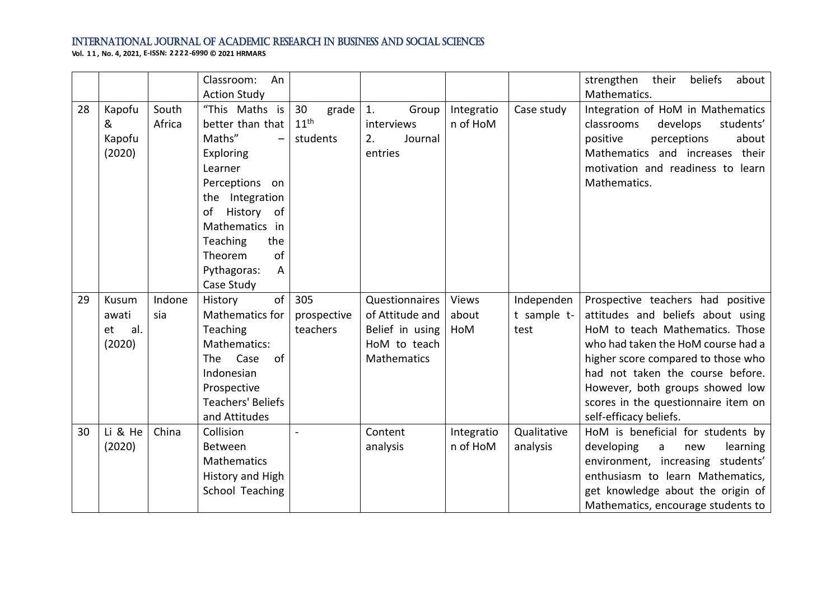|    |           |        | Classroom:<br>An                   |                  |                 |              |             | strengthen<br>their<br>beliefs<br>about       |
|----|-----------|--------|------------------------------------|------------------|-----------------|--------------|-------------|-----------------------------------------------|
|    |           |        | <b>Action Study</b>                |                  |                 |              |             | Mathematics.                                  |
| 28 | Kapofu    | South  | "This Maths is                     | 30<br>grade      | 1.<br>Group     | Integratio   | Case study  | Integration of HoM in Mathematics             |
|    | &         | Africa | better than that                   | $11^{\text{th}}$ | interviews      | n of HoM     |             | students'<br>classrooms<br>develops           |
|    | Kapofu    |        | Maths"<br>$\overline{\phantom{m}}$ | students         | Journal<br>2.   |              |             | about<br>positive<br>perceptions              |
|    | (2020)    |        | Exploring                          |                  | entries         |              |             | Mathematics and increases their               |
|    |           |        | Learner                            |                  |                 |              |             | motivation and readiness to learn             |
|    |           |        | Perceptions on                     |                  |                 |              |             | Mathematics.                                  |
|    |           |        | the Integration                    |                  |                 |              |             |                                               |
|    |           |        | History of<br>of                   |                  |                 |              |             |                                               |
|    |           |        | Mathematics in                     |                  |                 |              |             |                                               |
|    |           |        | <b>Teaching</b><br>the             |                  |                 |              |             |                                               |
|    |           |        | of<br>Theorem                      |                  |                 |              |             |                                               |
|    |           |        | Pythagoras:<br>A                   |                  |                 |              |             |                                               |
|    |           |        | Case Study                         |                  |                 |              |             |                                               |
| 29 | Kusum     | Indone | of<br>History                      | 305              | Questionnaires  | <b>Views</b> | Independen  | Prospective teachers had positive             |
|    | awati     | sia    | Mathematics for                    | prospective      | of Attitude and | about        | t sample t- | attitudes and beliefs about using             |
|    | al.<br>et |        | Teaching                           | teachers         | Belief in using | HoM          | test        | HoM to teach Mathematics. Those               |
|    | (2020)    |        | Mathematics:                       |                  | HoM to teach    |              |             | who had taken the HoM course had a            |
|    |           |        | Case<br>The<br>0f                  |                  | Mathematics     |              |             | higher score compared to those who            |
|    |           |        | Indonesian                         |                  |                 |              |             | had not taken the course before.              |
|    |           |        | Prospective                        |                  |                 |              |             | However, both groups showed low               |
|    |           |        | <b>Teachers' Beliefs</b>           |                  |                 |              |             | scores in the questionnaire item on           |
|    |           |        | and Attitudes                      |                  |                 |              |             | self-efficacy beliefs.                        |
| 30 | Li & He   | China  | Collision                          |                  | Content         | Integratio   | Qualitative | HoM is beneficial for students by             |
|    | (2020)    |        | Between                            |                  | analysis        | n of HoM     | analysis    | developing<br>learning<br>$\mathsf{a}$<br>new |
|    |           |        | Mathematics                        |                  |                 |              |             | environment, increasing students'             |
|    |           |        | History and High                   |                  |                 |              |             | enthusiasm to learn Mathematics,              |
|    |           |        | School Teaching                    |                  |                 |              |             | get knowledge about the origin of             |
|    |           |        |                                    |                  |                 |              |             | Mathematics, encourage students to            |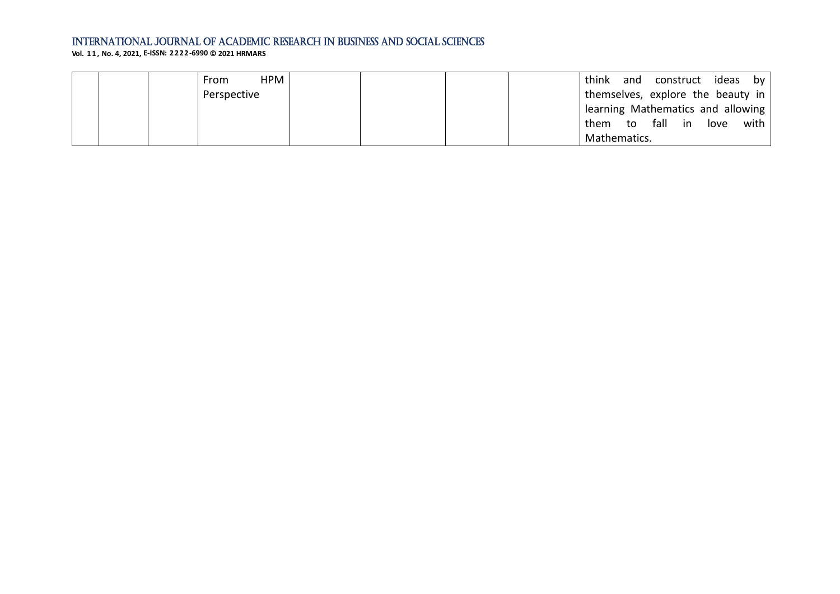| HPM<br>From |  | think                             | and construct ideas by |  |
|-------------|--|-----------------------------------|------------------------|--|
| Perspective |  | themselves, explore the beauty in |                        |  |
|             |  | learning Mathematics and allowing |                        |  |
|             |  | them                              | to fall in love with   |  |
|             |  | Mathematics.                      |                        |  |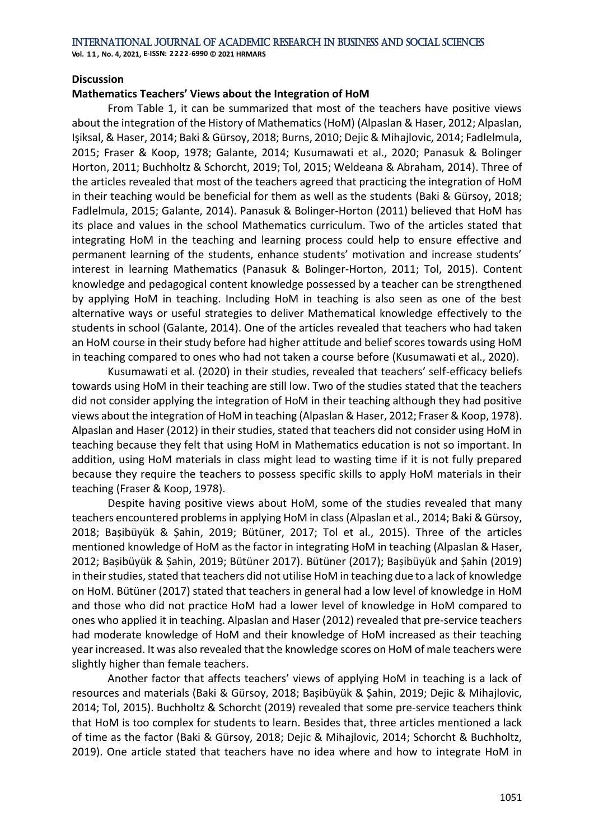**Vol. 1 1 , No. 4, 2021, E-ISSN: 2222-6990 © 2021 HRMARS**

#### **Discussion**

#### **Mathematics Teachers' Views about the Integration of HoM**

From Table 1, it can be summarized that most of the teachers have positive views about the integration of the History of Mathematics (HoM) (Alpaslan & Haser, 2012; Alpaslan, Işiksal, & Haser, 2014; Baki & Gürsoy, 2018; Burns, 2010; Dejic & Mihajlovic, 2014; Fadlelmula, 2015; Fraser & Koop, 1978; Galante, 2014; Kusumawati et al., 2020; Panasuk & Bolinger Horton, 2011; Buchholtz & Schorcht, 2019; Tol, 2015; Weldeana & Abraham, 2014). Three of the articles revealed that most of the teachers agreed that practicing the integration of HoM in their teaching would be beneficial for them as well as the students (Baki & Gürsoy, 2018; Fadlelmula, 2015; Galante, 2014). Panasuk & Bolinger-Horton (2011) believed that HoM has its place and values in the school Mathematics curriculum. Two of the articles stated that integrating HoM in the teaching and learning process could help to ensure effective and permanent learning of the students, enhance students' motivation and increase students' interest in learning Mathematics (Panasuk & Bolinger-Horton, 2011; Tol, 2015). Content knowledge and pedagogical content knowledge possessed by a teacher can be strengthened by applying HoM in teaching. Including HoM in teaching is also seen as one of the best alternative ways or useful strategies to deliver Mathematical knowledge effectively to the students in school (Galante, 2014). One of the articles revealed that teachers who had taken an HoM course in their study before had higher attitude and belief scores towards using HoM in teaching compared to ones who had not taken a course before (Kusumawati et al., 2020).

Kusumawati et al. (2020) in their studies, revealed that teachers' self-efficacy beliefs towards using HoM in their teaching are still low. Two of the studies stated that the teachers did not consider applying the integration of HoM in their teaching although they had positive views about the integration of HoM in teaching (Alpaslan & Haser, 2012; Fraser & Koop, 1978). Alpaslan and Haser (2012) in their studies, stated that teachers did not consider using HoM in teaching because they felt that using HoM in Mathematics education is not so important. In addition, using HoM materials in class might lead to wasting time if it is not fully prepared because they require the teachers to possess specific skills to apply HoM materials in their teaching (Fraser & Koop, 1978).

Despite having positive views about HoM, some of the studies revealed that many teachers encountered problems in applying HoM in class (Alpaslan et al., 2014; Baki & Gürsoy, 2018; Bașibüyük & Șahin, 2019; Bütüner, 2017; Tol et al., 2015). Three of the articles mentioned knowledge of HoM as the factor in integrating HoM in teaching (Alpaslan & Haser, 2012; Bașibüyük & Șahin, 2019; Bütüner 2017). Bütüner (2017); Bașibüyük and Șahin (2019) in their studies, stated that teachers did not utilise HoM in teaching due to a lack of knowledge on HoM. Bütüner (2017) stated that teachers in general had a low level of knowledge in HoM and those who did not practice HoM had a lower level of knowledge in HoM compared to ones who applied it in teaching. Alpaslan and Haser (2012) revealed that pre-service teachers had moderate knowledge of HoM and their knowledge of HoM increased as their teaching year increased. It was also revealed that the knowledge scores on HoM of male teachers were slightly higher than female teachers.

Another factor that affects teachers' views of applying HoM in teaching is a lack of resources and materials (Baki & Gürsoy, 2018; Bașibüyük & Șahin, 2019; Dejic & Mihajlovic, 2014; Tol, 2015). Buchholtz & Schorcht (2019) revealed that some pre-service teachers think that HoM is too complex for students to learn. Besides that, three articles mentioned a lack of time as the factor (Baki & Gürsoy, 2018; Dejic & Mihajlovic, 2014; Schorcht & Buchholtz, 2019). One article stated that teachers have no idea where and how to integrate HoM in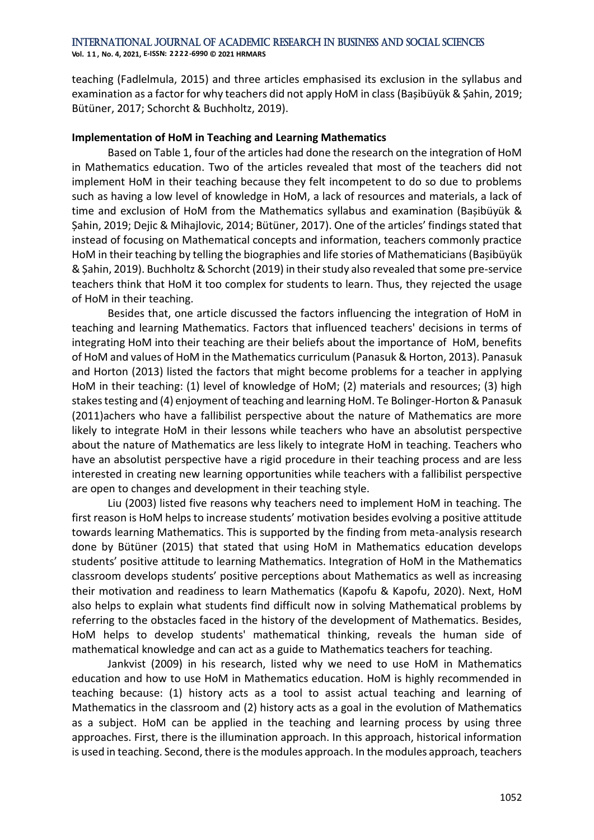**Vol. 1 1 , No. 4, 2021, E-ISSN: 2222-6990 © 2021 HRMARS**

teaching (Fadlelmula, 2015) and three articles emphasised its exclusion in the syllabus and examination as a factor for why teachers did not apply HoM in class (Bașibüyük & Șahin, 2019; Bütüner, 2017; Schorcht & Buchholtz, 2019).

## **Implementation of HoM in Teaching and Learning Mathematics**

Based on Table 1, four of the articles had done the research on the integration of HoM in Mathematics education. Two of the articles revealed that most of the teachers did not implement HoM in their teaching because they felt incompetent to do so due to problems such as having a low level of knowledge in HoM, a lack of resources and materials, a lack of time and exclusion of HoM from the Mathematics syllabus and examination (Bașibüyük & Șahin, 2019; Dejic & Mihajlovic, 2014; Bütüner, 2017). One of the articles' findings stated that instead of focusing on Mathematical concepts and information, teachers commonly practice HoM in their teaching by telling the biographies and life stories of Mathematicians (Bașibüyük & Șahin, 2019). Buchholtz & Schorcht (2019) in their study also revealed that some pre-service teachers think that HoM it too complex for students to learn. Thus, they rejected the usage of HoM in their teaching.

Besides that, one article discussed the factors influencing the integration of HoM in teaching and learning Mathematics. Factors that influenced teachers' decisions in terms of integrating HoM into their teaching are their beliefs about the importance of HoM, benefits of HoM and values of HoM in the Mathematics curriculum (Panasuk & Horton, 2013). Panasuk and Horton (2013) listed the factors that might become problems for a teacher in applying HoM in their teaching: (1) level of knowledge of HoM; (2) materials and resources; (3) high stakes testing and (4) enjoyment of teaching and learning HoM. Te Bolinger-Horton & Panasuk (2011)achers who have a fallibilist perspective about the nature of Mathematics are more likely to integrate HoM in their lessons while teachers who have an absolutist perspective about the nature of Mathematics are less likely to integrate HoM in teaching. Teachers who have an absolutist perspective have a rigid procedure in their teaching process and are less interested in creating new learning opportunities while teachers with a fallibilist perspective are open to changes and development in their teaching style.

Liu (2003) listed five reasons why teachers need to implement HoM in teaching. The first reason is HoM helps to increase students' motivation besides evolving a positive attitude towards learning Mathematics. This is supported by the finding from meta-analysis research done by Bütüner (2015) that stated that using HoM in Mathematics education develops students' positive attitude to learning Mathematics. Integration of HoM in the Mathematics classroom develops students' positive perceptions about Mathematics as well as increasing their motivation and readiness to learn Mathematics (Kapofu & Kapofu, 2020). Next, HoM also helps to explain what students find difficult now in solving Mathematical problems by referring to the obstacles faced in the history of the development of Mathematics. Besides, HoM helps to develop students' mathematical thinking, reveals the human side of mathematical knowledge and can act as a guide to Mathematics teachers for teaching.

Jankvist (2009) in his research, listed why we need to use HoM in Mathematics education and how to use HoM in Mathematics education. HoM is highly recommended in teaching because: (1) history acts as a tool to assist actual teaching and learning of Mathematics in the classroom and (2) history acts as a goal in the evolution of Mathematics as a subject. HoM can be applied in the teaching and learning process by using three approaches. First, there is the illumination approach. In this approach, historical information is used in teaching. Second, there is the modules approach. In the modules approach, teachers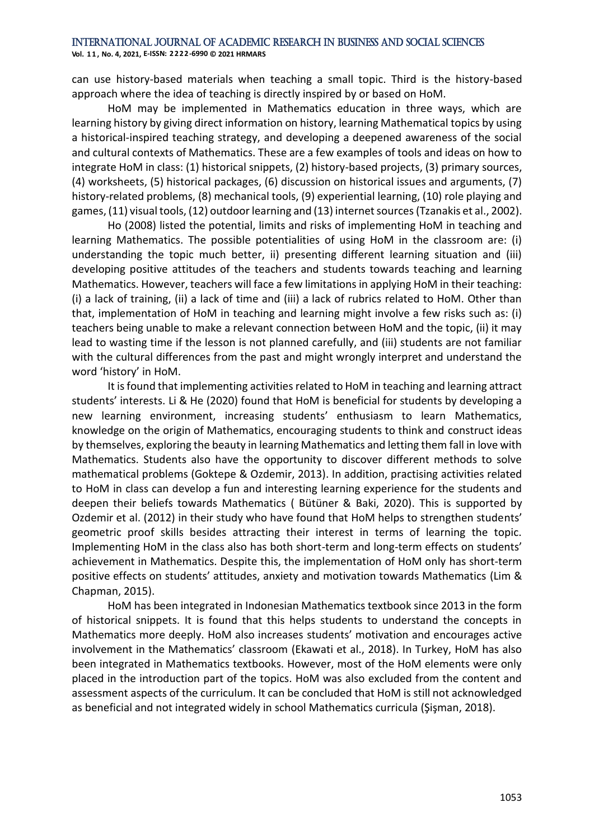**Vol. 1 1 , No. 4, 2021, E-ISSN: 2222-6990 © 2021 HRMARS**

can use history-based materials when teaching a small topic. Third is the history-based approach where the idea of teaching is directly inspired by or based on HoM.

HoM may be implemented in Mathematics education in three ways, which are learning history by giving direct information on history, learning Mathematical topics by using a historical-inspired teaching strategy, and developing a deepened awareness of the social and cultural contexts of Mathematics. These are a few examples of tools and ideas on how to integrate HoM in class: (1) historical snippets, (2) history-based projects, (3) primary sources, (4) worksheets, (5) historical packages, (6) discussion on historical issues and arguments, (7) history-related problems, (8) mechanical tools, (9) experiential learning, (10) role playing and games, (11) visual tools, (12) outdoor learning and (13) internet sources (Tzanakis et al., 2002).

Ho (2008) listed the potential, limits and risks of implementing HoM in teaching and learning Mathematics. The possible potentialities of using HoM in the classroom are: (i) understanding the topic much better, ii) presenting different learning situation and (iii) developing positive attitudes of the teachers and students towards teaching and learning Mathematics. However, teachers will face a few limitations in applying HoM in their teaching: (i) a lack of training, (ii) a lack of time and (iii) a lack of rubrics related to HoM. Other than that, implementation of HoM in teaching and learning might involve a few risks such as: (i) teachers being unable to make a relevant connection between HoM and the topic, (ii) it may lead to wasting time if the lesson is not planned carefully, and (iii) students are not familiar with the cultural differences from the past and might wrongly interpret and understand the word 'history' in HoM.

It is found that implementing activities related to HoM in teaching and learning attract students' interests. Li & He (2020) found that HoM is beneficial for students by developing a new learning environment, increasing students' enthusiasm to learn Mathematics, knowledge on the origin of Mathematics, encouraging students to think and construct ideas by themselves, exploring the beauty in learning Mathematics and letting them fall in love with Mathematics. Students also have the opportunity to discover different methods to solve mathematical problems (Goktepe & Ozdemir, 2013). In addition, practising activities related to HoM in class can develop a fun and interesting learning experience for the students and deepen their beliefs towards Mathematics ( Bütüner & Baki, 2020). This is supported by Ozdemir et al. (2012) in their study who have found that HoM helps to strengthen students' geometric proof skills besides attracting their interest in terms of learning the topic. Implementing HoM in the class also has both short-term and long-term effects on students' achievement in Mathematics. Despite this, the implementation of HoM only has short-term positive effects on students' attitudes, anxiety and motivation towards Mathematics (Lim & Chapman, 2015).

HoM has been integrated in Indonesian Mathematics textbook since 2013 in the form of historical snippets. It is found that this helps students to understand the concepts in Mathematics more deeply. HoM also increases students' motivation and encourages active involvement in the Mathematics' classroom (Ekawati et al., 2018). In Turkey, HoM has also been integrated in Mathematics textbooks. However, most of the HoM elements were only placed in the introduction part of the topics. HoM was also excluded from the content and assessment aspects of the curriculum. It can be concluded that HoM is still not acknowledged as beneficial and not integrated widely in school Mathematics curricula (Şişman, 2018).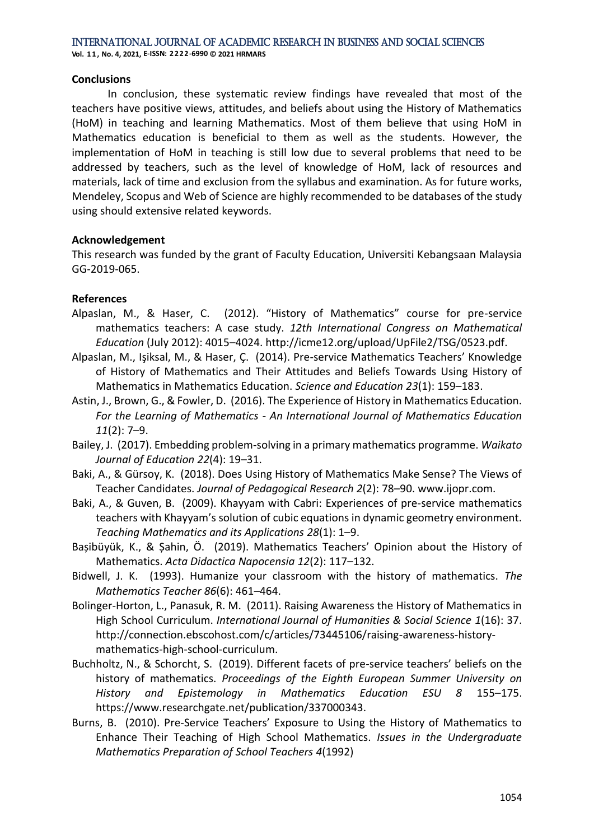**Vol. 1 1 , No. 4, 2021, E-ISSN: 2222-6990 © 2021 HRMARS**

#### **Conclusions**

In conclusion, these systematic review findings have revealed that most of the teachers have positive views, attitudes, and beliefs about using the History of Mathematics (HoM) in teaching and learning Mathematics. Most of them believe that using HoM in Mathematics education is beneficial to them as well as the students. However, the implementation of HoM in teaching is still low due to several problems that need to be addressed by teachers, such as the level of knowledge of HoM, lack of resources and materials, lack of time and exclusion from the syllabus and examination. As for future works, Mendeley, Scopus and Web of Science are highly recommended to be databases of the study using should extensive related keywords.

## **Acknowledgement**

This research was funded by the grant of Faculty Education, Universiti Kebangsaan Malaysia GG-2019-065.

## **References**

- Alpaslan, M., & Haser, C. (2012). "History of Mathematics" course for pre-service mathematics teachers: A case study. *12th International Congress on Mathematical Education* (July 2012): 4015–4024. http://icme12.org/upload/UpFile2/TSG/0523.pdf.
- Alpaslan, M., Işiksal, M., & Haser, Ç. (2014). Pre-service Mathematics Teachers' Knowledge of History of Mathematics and Their Attitudes and Beliefs Towards Using History of Mathematics in Mathematics Education. *Science and Education 23*(1): 159–183.
- Astin, J., Brown, G., & Fowler, D. (2016). The Experience of History in Mathematics Education. *For the Learning of Mathematics - An International Journal of Mathematics Education 11*(2): 7–9.
- Bailey, J. (2017). Embedding problem-solving in a primary mathematics programme. *Waikato Journal of Education 22*(4): 19–31.
- Baki, A., & Gürsoy, K. (2018). Does Using History of Mathematics Make Sense? The Views of Teacher Candidates. *Journal of Pedagogical Research 2*(2): 78–90. www.ijopr.com.
- Baki, A., & Guven, B. (2009). Khayyam with Cabri: Experiences of pre-service mathematics teachers with Khayyam's solution of cubic equations in dynamic geometry environment. *Teaching Mathematics and its Applications 28*(1): 1–9.
- Bașibüyük, K., & Șahin, Ö. (2019). Mathematics Teachers' Opinion about the History of Mathematics. *Acta Didactica Napocensia 12*(2): 117–132.
- Bidwell, J. K. (1993). Humanize your classroom with the history of mathematics. *The Mathematics Teacher 86*(6): 461–464.
- Bolinger-Horton, L., Panasuk, R. M. (2011). Raising Awareness the History of Mathematics in High School Curriculum. *International Journal of Humanities & Social Science 1*(16): 37. http://connection.ebscohost.com/c/articles/73445106/raising-awareness-historymathematics-high-school-curriculum.
- Buchholtz, N., & Schorcht, S. (2019). Different facets of pre-service teachers' beliefs on the history of mathematics. *Proceedings of the Eighth European Summer University on History and Epistemology in Mathematics Education ESU 8* 155–175. https://www.researchgate.net/publication/337000343.
- Burns, B. (2010). Pre-Service Teachers' Exposure to Using the History of Mathematics to Enhance Their Teaching of High School Mathematics. *Issues in the Undergraduate Mathematics Preparation of School Teachers 4*(1992)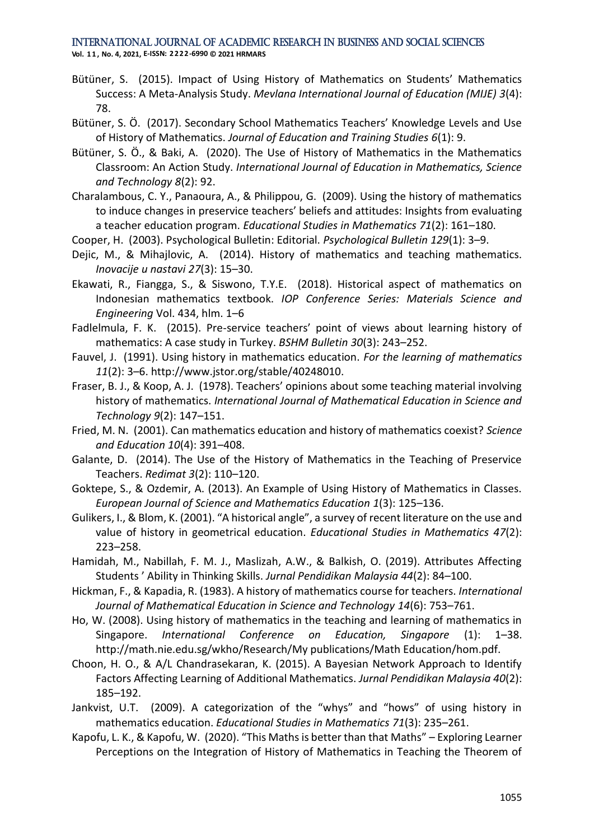- Bütüner, S. (2015). Impact of Using History of Mathematics on Students' Mathematics Success: A Meta-Analysis Study. *Mevlana International Journal of Education (MIJE) 3*(4): 78.
- Bütüner, S. Ö. (2017). Secondary School Mathematics Teachers' Knowledge Levels and Use of History of Mathematics. *Journal of Education and Training Studies 6*(1): 9.
- Bütüner, S. Ö., & Baki, A. (2020). The Use of History of Mathematics in the Mathematics Classroom: An Action Study. *International Journal of Education in Mathematics, Science and Technology 8*(2): 92.
- Charalambous, C. Y., Panaoura, A., & Philippou, G. (2009). Using the history of mathematics to induce changes in preservice teachers' beliefs and attitudes: Insights from evaluating a teacher education program. *Educational Studies in Mathematics 71*(2): 161–180.
- Cooper, H. (2003). Psychological Bulletin: Editorial. *Psychological Bulletin 129*(1): 3–9.
- Dejic, M., & Mihajlovic, A. (2014). History of mathematics and teaching mathematics. *Inovacije u nastavi 27*(3): 15–30.
- Ekawati, R., Fiangga, S., & Siswono, T.Y.E. (2018). Historical aspect of mathematics on Indonesian mathematics textbook. *IOP Conference Series: Materials Science and Engineering* Vol. 434, hlm. 1–6
- Fadlelmula, F. K. (2015). Pre-service teachers' point of views about learning history of mathematics: A case study in Turkey. *BSHM Bulletin 30*(3): 243–252.
- Fauvel, J. (1991). Using history in mathematics education. *For the learning of mathematics 11*(2): 3–6. http://www.jstor.org/stable/40248010.
- Fraser, B. J., & Koop, A. J. (1978). Teachers' opinions about some teaching material involving history of mathematics. *International Journal of Mathematical Education in Science and Technology 9*(2): 147–151.
- Fried, M. N. (2001). Can mathematics education and history of mathematics coexist? *Science and Education 10*(4): 391–408.
- Galante, D. (2014). The Use of the History of Mathematics in the Teaching of Preservice Teachers. *Redimat 3*(2): 110–120.
- Goktepe, S., & Ozdemir, A. (2013). An Example of Using History of Mathematics in Classes. *European Journal of Science and Mathematics Education 1*(3): 125–136.
- Gulikers, I., & Blom, K. (2001). "A historical angle", a survey of recent literature on the use and value of history in geometrical education. *Educational Studies in Mathematics 47*(2): 223–258.
- Hamidah, M., Nabillah, F. M. J., Maslizah, A.W., & Balkish, O. (2019). Attributes Affecting Students ' Ability in Thinking Skills. *Jurnal Pendidikan Malaysia 44*(2): 84–100.
- Hickman, F., & Kapadia, R. (1983). A history of mathematics course for teachers. *International Journal of Mathematical Education in Science and Technology 14*(6): 753–761.
- Ho, W. (2008). Using history of mathematics in the teaching and learning of mathematics in Singapore. *International Conference on Education, Singapore* (1): 1–38. http://math.nie.edu.sg/wkho/Research/My publications/Math Education/hom.pdf.
- Choon, H. O., & A/L Chandrasekaran, K. (2015). A Bayesian Network Approach to Identify Factors Affecting Learning of Additional Mathematics. *Jurnal Pendidikan Malaysia 40*(2): 185–192.
- Jankvist, U.T. (2009). A categorization of the "whys" and "hows" of using history in mathematics education. *Educational Studies in Mathematics 71*(3): 235–261.
- Kapofu, L. K., & Kapofu, W. (2020). "This Maths is better than that Maths" Exploring Learner Perceptions on the Integration of History of Mathematics in Teaching the Theorem of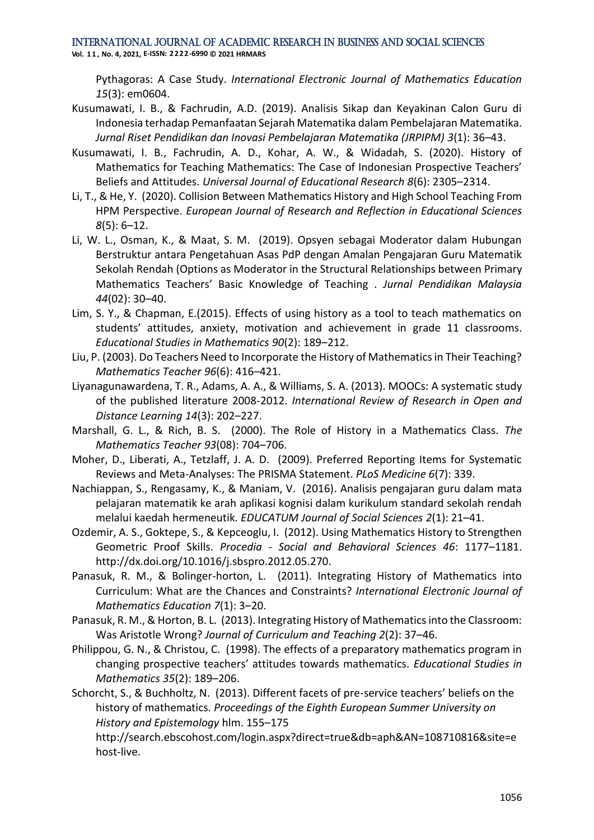**Vol. 1 1 , No. 4, 2021, E-ISSN: 2222-6990 © 2021 HRMARS**

Pythagoras: A Case Study. *International Electronic Journal of Mathematics Education 15*(3): em0604.

- Kusumawati, I. B., & Fachrudin, A.D. (2019). Analisis Sikap dan Keyakinan Calon Guru di Indonesia terhadap Pemanfaatan Sejarah Matematika dalam Pembelajaran Matematika. *Jurnal Riset Pendidikan dan Inovasi Pembelajaran Matematika (JRPIPM) 3*(1): 36–43.
- Kusumawati, I. B., Fachrudin, A. D., Kohar, A. W., & Widadah, S. (2020). History of Mathematics for Teaching Mathematics: The Case of Indonesian Prospective Teachers' Beliefs and Attitudes. *Universal Journal of Educational Research 8*(6): 2305–2314.
- Li, T., & He, Y. (2020). Collision Between Mathematics History and High School Teaching From HPM Perspective. *European Journal of Research and Reflection in Educational Sciences 8*(5): 6–12.
- Li, W. L., Osman, K., & Maat, S. M. (2019). Opsyen sebagai Moderator dalam Hubungan Berstruktur antara Pengetahuan Asas PdP dengan Amalan Pengajaran Guru Matematik Sekolah Rendah (Options as Moderator in the Structural Relationships between Primary Mathematics Teachers' Basic Knowledge of Teaching . *Jurnal Pendidikan Malaysia 44*(02): 30–40.
- Lim, S. Y., & Chapman, E.(2015). Effects of using history as a tool to teach mathematics on students' attitudes, anxiety, motivation and achievement in grade 11 classrooms. *Educational Studies in Mathematics 90*(2): 189–212.
- Liu, P. (2003). Do Teachers Need to Incorporate the History of Mathematics in Their Teaching? *Mathematics Teacher 96*(6): 416–421.
- Liyanagunawardena, T. R., Adams, A. A., & Williams, S. A. (2013). MOOCs: A systematic study of the published literature 2008-2012. *International Review of Research in Open and Distance Learning 14*(3): 202–227.
- Marshall, G. L., & Rich, B. S. (2000). The Role of History in a Mathematics Class. *The Mathematics Teacher 93*(08): 704–706.
- Moher, D., Liberati, A., Tetzlaff, J. A. D. (2009). Preferred Reporting Items for Systematic Reviews and Meta-Analyses: The PRISMA Statement. *PLoS Medicine 6*(7): 339.
- Nachiappan, S., Rengasamy, K., & Maniam, V. (2016). Analisis pengajaran guru dalam mata pelajaran matematik ke arah aplikasi kognisi dalam kurikulum standard sekolah rendah melalui kaedah hermeneutik. *EDUCATUM Journal of Social Sciences 2*(1): 21–41.
- Ozdemir, A. S., Goktepe, S., & Kepceoglu, I. (2012). Using Mathematics History to Strengthen Geometric Proof Skills. *Procedia - Social and Behavioral Sciences 46*: 1177–1181. http://dx.doi.org/10.1016/j.sbspro.2012.05.270.
- Panasuk, R. M., & Bolinger-horton, L. (2011). Integrating History of Mathematics into Curriculum: What are the Chances and Constraints? *International Electronic Journal of Mathematics Education 7*(1): 3–20.
- Panasuk, R. M., & Horton, B. L. (2013). Integrating History of Mathematics into the Classroom: Was Aristotle Wrong? *Journal of Curriculum and Teaching 2*(2): 37–46.
- Philippou, G. N., & Christou, C. (1998). The effects of a preparatory mathematics program in changing prospective teachers' attitudes towards mathematics. *Educational Studies in Mathematics 35*(2): 189–206.
- Schorcht, S., & Buchholtz, N. (2013). Different facets of pre-service teachers' beliefs on the history of mathematics. *Proceedings of the Eighth European Summer University on History and Epistemology* hlm. 155–175

http://search.ebscohost.com/login.aspx?direct=true&db=aph&AN=108710816&site=e host-live.